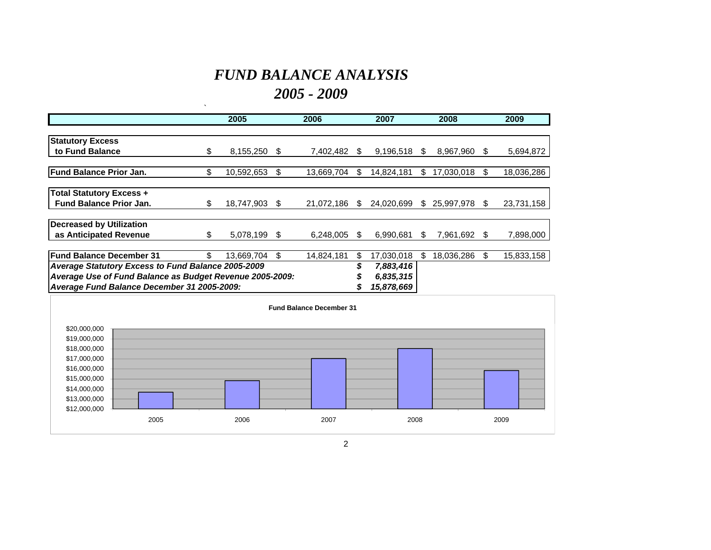# *FUND BALANCE ANALYSIS 2005 - 2009*

 $\hat{\mathbf{v}}$ 

|                                                           |     | 2005       |           | 2006                            |     | 2007       |     | 2008         |     | 2009       |
|-----------------------------------------------------------|-----|------------|-----------|---------------------------------|-----|------------|-----|--------------|-----|------------|
|                                                           |     |            |           |                                 |     |            |     |              |     |            |
| <b>Statutory Excess</b>                                   |     |            |           |                                 |     |            |     |              |     |            |
| to Fund Balance                                           | \$. | 8,155,250  | S         | 7.402.482                       | -SS | 9,196,518  | S.  | 8.967.960    | \$. | 5,694,872  |
|                                                           |     |            |           |                                 |     |            |     |              |     |            |
| <b>Fund Balance Prior Jan.</b>                            | \$  | 10,592,653 | \$        | 13,669,704                      | S.  | 14,824,181 | \$  | 17,030,018   | \$. | 18,036,286 |
| <b>Total Statutory Excess +</b>                           |     |            |           |                                 |     |            |     |              |     |            |
| <b>Fund Balance Prior Jan.</b>                            | \$  | 18,747,903 | S.        | 21,072,186                      | S.  | 24,020,699 |     | \$25,997,978 | -SS | 23,731,158 |
| <b>Decreased by Utilization</b>                           |     |            |           |                                 |     |            |     |              |     |            |
| as Anticipated Revenue                                    | \$  | 5,078,199  | S         | 6,248,005                       | S   | 6,990,681  | S.  | 7,961,692    | æ.  | 7,898,000  |
| lFund Balance December 31                                 | \$. | 13,669,704 | \$        | 14,824,181                      | \$  | 17,030,018 | \$. | 18,036,286   |     | 15,833,158 |
| <b>Average Statutory Excess to Fund Balance 2005-2009</b> |     |            |           |                                 | \$  | 7,883,416  |     |              |     |            |
| Average Use of Fund Balance as Budget Revenue 2005-2009:  |     |            | 6,835,315 |                                 |     |            |     |              |     |            |
| Average Fund Balance December 31 2005-2009:               |     |            |           |                                 |     | 15,878,669 |     |              |     |            |
|                                                           |     |            |           |                                 |     |            |     |              |     |            |
|                                                           |     |            |           | <b>Fund Balance December 31</b> |     |            |     |              |     |            |

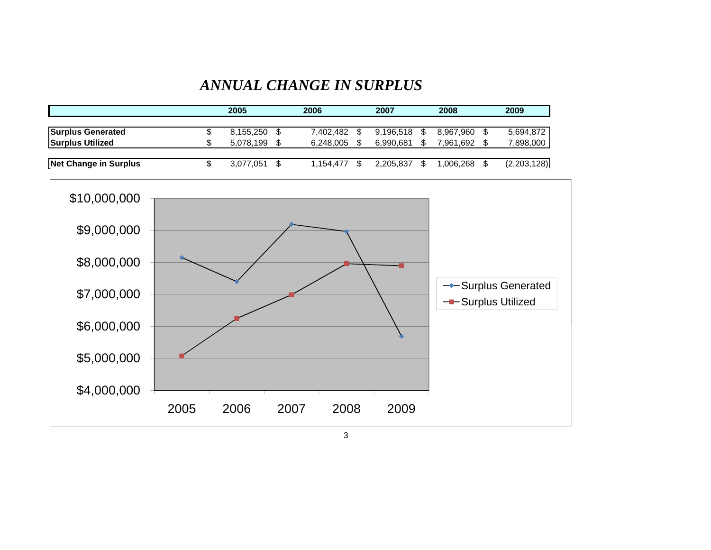#### *ANNUAL CHANGE IN SURPLUS*

|                              | 2005 |           | 2006      | 2007 |           |  | 2008      | 2009        |
|------------------------------|------|-----------|-----------|------|-----------|--|-----------|-------------|
|                              |      |           |           |      |           |  |           |             |
| <b>Surplus Generated</b>     |      | 8,155,250 | 7.402.482 |      | 9.196.518 |  | 8.967.960 | 5,694,872   |
| <b>Surplus Utilized</b>      |      | 5.078.199 | 6.248.005 |      | 6.990.681 |  | 7.961.692 | 7,898,000   |
|                              |      |           |           |      |           |  |           |             |
| <b>Net Change in Surplus</b> |      | 3.077.051 | 1.154.477 |      | 2.205.837 |  | .006.268  | (2,203,128) |



3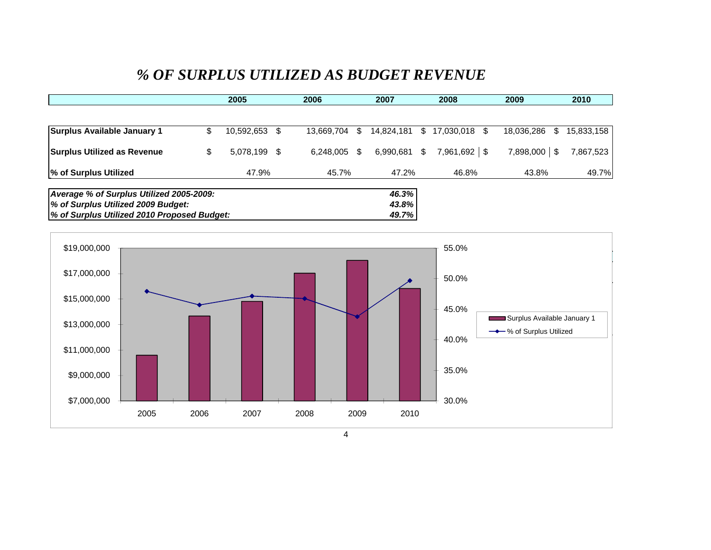### *% OF SURPLUS UTILIZED AS BUDGET REVENUE*

|                                             | 2005 |               | 2006 | 2007       |    |              | 2008 | 2009               | 2010              |            |
|---------------------------------------------|------|---------------|------|------------|----|--------------|------|--------------------|-------------------|------------|
|                                             |      |               |      |            |    |              |      |                    |                   |            |
| Surplus Available January 1                 |      | 10,592,653 \$ |      | 13.669.704 | \$ | 14.824.181   |      | \$17,030,018<br>S. | 18,036,286<br>\$. | 15,833,158 |
| <b>Surplus Utilized as Revenue</b>          | S    | 5,078,199 \$  |      | 6.248.005  | \$ | 6,990,681 \$ |      | $7,961,692$ \$     | 7,898,000 \$      | 7,867,523  |
| % of Surplus Utilized                       |      | 47.9%         |      | 45.7%      |    | 47.2%        |      | 46.8%              | 43.8%             | 49.7%      |
| Average % of Surplus Utilized 2005-2009:    |      |               |      |            |    | 46.3%        |      |                    |                   |            |
| % of Surplus Utilized 2009 Budget:          |      |               |      |            |    | 43.8%        |      |                    |                   |            |
| % of Surplus Utilized 2010 Proposed Budget: |      |               |      |            |    | 49.7%        |      |                    |                   |            |

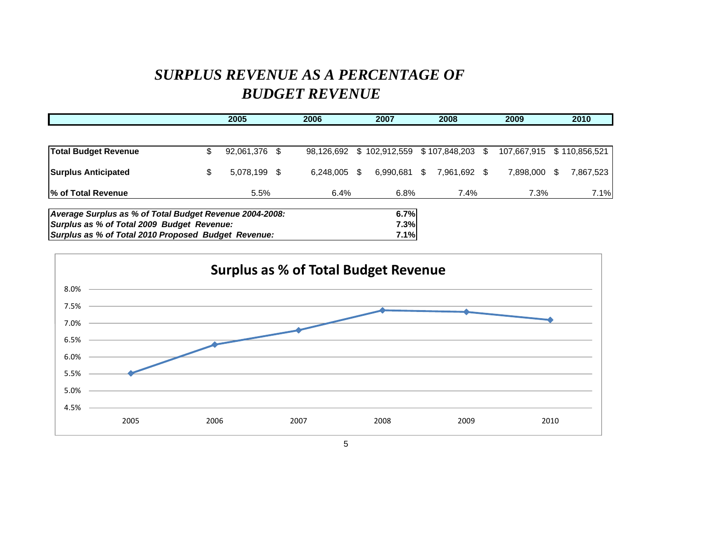# *SURPLUS REVENUE AS A PERCENTAGE OF BUDGET REVENUE*

|                                                         | 2005 |               | 2006 | 2007       |    |                                | 2008 | 2009         |  | 2010                      |   |           |
|---------------------------------------------------------|------|---------------|------|------------|----|--------------------------------|------|--------------|--|---------------------------|---|-----------|
|                                                         |      |               |      |            |    |                                |      |              |  |                           |   |           |
| <b>Total Budget Revenue</b>                             |      | 92,061,376 \$ |      | 98.126.692 |    | \$102,912,559 \$107,848,203 \$ |      |              |  | 107,667,915 \$110,856,521 |   |           |
| <b>Surplus Anticipated</b>                              |      | 5,078,199 \$  |      | 6.248.005  | \$ | 6.990.681                      | -SS  | 7,961,692 \$ |  | 7.898.000                 | S | 7,867,523 |
| % of Total Revenue                                      |      | 5.5%          |      | 6.4%       |    | 6.8%                           |      | 7.4%         |  | 7.3%                      |   | 7.1%      |
| Average Surplus as % of Total Budget Revenue 2004-2008: |      |               |      |            |    | 6.7%                           |      |              |  |                           |   |           |
| Surplus as % of Total 2009 Budget Revenue:              |      |               |      |            |    | 7.3%                           |      |              |  |                           |   |           |
| Surplus as % of Total 2010 Proposed Budget Revenue:     |      |               |      |            |    | 7.1%                           |      |              |  |                           |   |           |